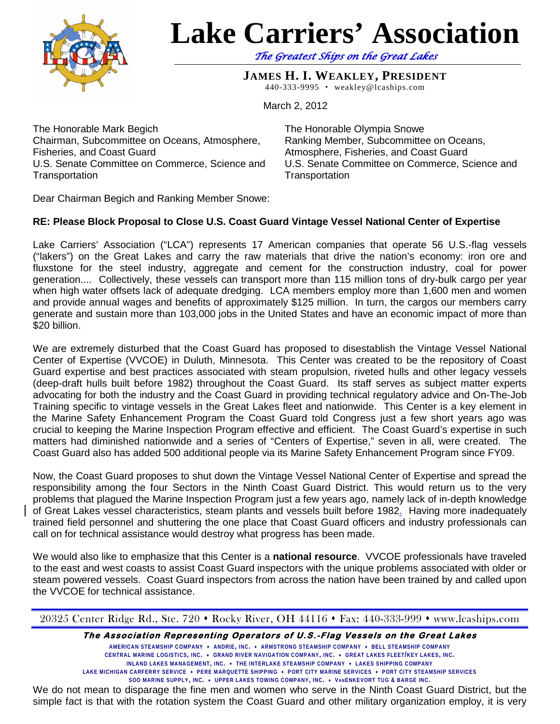

## **Lake Carriers' Association**

*The Greatest Ships on the Great Lakes* 

**JAMES H. I. WEAKLEY, PRESIDENT** 440-333-9995 weakley@lcaships.com

March 2, 2012

The Honorable Mark Begich Chairman, Subcommittee on Oceans, Atmosphere, Fisheries, and Coast Guard U.S. Senate Committee on Commerce, Science and **Transportation** 

The Honorable Olympia Snowe Ranking Member, Subcommittee on Oceans, Atmosphere, Fisheries, and Coast Guard U.S. Senate Committee on Commerce, Science and **Transportation** 

Dear Chairman Begich and Ranking Member Snowe:

## **RE: Please Block Proposal to Close U.S. Coast Guard Vintage Vessel National Center of Expertise**

Lake Carriers' Association ("LCA") represents 17 American companies that operate 56 U.S.-flag vessels ("lakers") on the Great Lakes and carry the raw materials that drive the nation's economy: iron ore and fluxstone for the steel industry, aggregate and cement for the construction industry, coal for power generation.... Collectively, these vessels can transport more than 115 million tons of dry-bulk cargo per year when high water offsets lack of adequate dredging. LCA members employ more than 1,600 men and women and provide annual wages and benefits of approximately \$125 million. In turn, the cargos our members carry generate and sustain more than 103,000 jobs in the United States and have an economic impact of more than \$20 billion.

We are extremely disturbed that the Coast Guard has proposed to disestablish the Vintage Vessel National Center of Expertise (VVCOE) in Duluth, Minnesota. This Center was created to be the repository of Coast Guard expertise and best practices associated with steam propulsion, riveted hulls and other legacy vessels (deep-draft hulls built before 1982) throughout the Coast Guard. Its staff serves as subject matter experts advocating for both the industry and the Coast Guard in providing technical regulatory advice and On-The-Job Training specific to vintage vessels in the Great Lakes fleet and nationwide. This Center is a key element in the Marine Safety Enhancement Program the Coast Guard told Congress just a few short years ago was crucial to keeping the Marine Inspection Program effective and efficient. The Coast Guard's expertise in such matters had diminished nationwide and a series of "Centers of Expertise," seven in all, were created. The Coast Guard also has added 500 additional people via its Marine Safety Enhancement Program since FY09.

Now, the Coast Guard proposes to shut down the Vintage Vessel National Center of Expertise and spread the responsibility among the four Sectors in the Ninth Coast Guard District. This would return us to the very problems that plagued the Marine Inspection Program just a few years ago, namely lack of in-depth knowledge of Great Lakes vessel characteristics, steam plants and vessels built before 1982. Having more inadequately trained field personnel and shuttering the one place that Coast Guard officers and industry professionals can call on for technical assistance would destroy what progress has been made.

We would also like to emphasize that this Center is a **national resource**. VVCOE professionals have traveled to the east and west coasts to assist Coast Guard inspectors with the unique problems associated with older or steam powered vessels. Coast Guard inspectors from across the nation have been trained by and called upon the VVCOE for technical assistance.

20325 Center Ridge Rd., Ste. 720  $\bullet$  Rocky River, OH 44116  $\bullet$  Fax: 440-333-999  $\bullet$  www.lcaships.com

**The Association Representing Operators of U.S.-Flag Vessels on the Great Lakes** 

**AMERICAN STEAMSHIP COMPANY ANDRIE, INC. ARMSTRONG STEAMSHIP COMPANY BELL STEAMSHIP COMPANY CENTRAL MARINE LOGISTICS, INC. GRAND RIVER NAVIGATION COMPANY, INC. GREAT LAKES FLEET/KEY LAKES, INC. INLAND LAKES MANAGEMENT, INC. THE INTERLAKE STEAMSHIP COMPANY LAKES SHIPPING COMPANY LAKE MICHIGAN CARFERRY SERVICE PERE MARQUETTE SHIPPING PORT CITY MARINE SERVICES PORT CITY STEAMSHIP SERVICES**

**SOO MARINE SUPPLY, INC. UPPER LAKES TOWING COMPANY, INC. VANENKEVORT TUG & BARGE INC.** We do not mean to disparage the fine men and women who serve in the Ninth Coast Guard District, but the simple fact is that with the rotation system the Coast Guard and other military organization employ, it is very